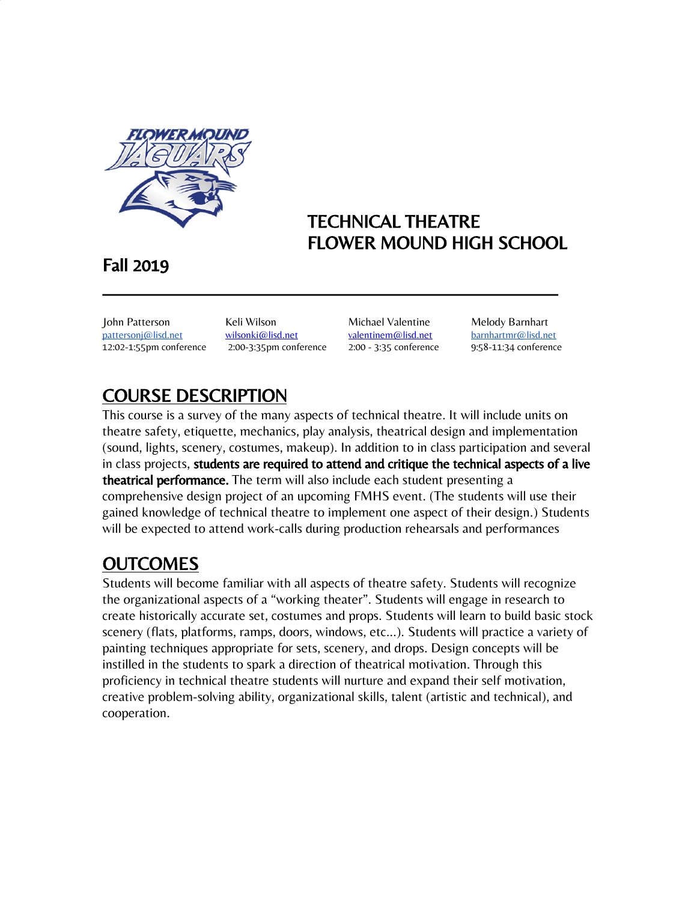

## TECHNICAL THEATRE FLOWER MOUND HIGH SCHOOL

## Fall 2019

John Patterson Keli Wilson Michael Valentine Melody Barnhart [pattersonj@lisd.net](mailto:pattersonj@lisd.net) [wilsonki@lisd.net](mailto:wilsonki@lisd.net) [valentinem@lisd.net](mailto:valentinem@lisd.net) [barnhartmr@lisd.net](mailto:Barnhartm@lisd.net) 12:02-1:55pm conference 2:00-3:35pm conference 2:00 - 3:35 conference 9:58-11:34 conference

# COURSE DESCRIPTION

This course is a survey of the many aspects of technical theatre. It will include units on theatre safety, etiquette, mechanics, play analysis, theatrical design and implementation (sound, lights, scenery, costumes, makeup). In addition to in class participation and several in class projects, students are required to attend and critique the technical aspects of a live **theatrical performance.** The term will also include each student presenting a comprehensive design project of an upcoming FMHS event. (The students will use their gained knowledge of technical theatre to implement one aspect of their design.) Students will be expected to attend work-calls during production rehearsals and performances

\_\_\_\_\_\_\_\_\_\_\_\_\_\_\_\_\_\_\_\_\_\_\_\_\_\_\_\_\_\_\_\_\_\_\_\_\_\_\_\_\_\_\_\_\_\_\_\_\_\_

# **OUTCOMES**

Students will become familiar with all aspects of theatre safety. Students will recognize the organizational aspects of a "working theater". Students will engage in research to create historically accurate set, costumes and props. Students will learn to build basic stock scenery (flats, platforms, ramps, doors, windows, etc…). Students will practice a variety of painting techniques appropriate for sets, scenery, and drops. Design concepts will be instilled in the students to spark a direction of theatrical motivation. Through this proficiency in technical theatre students will nurture and expand their self motivation, creative problem-solving ability, organizational skills, talent (artistic and technical), and cooperation.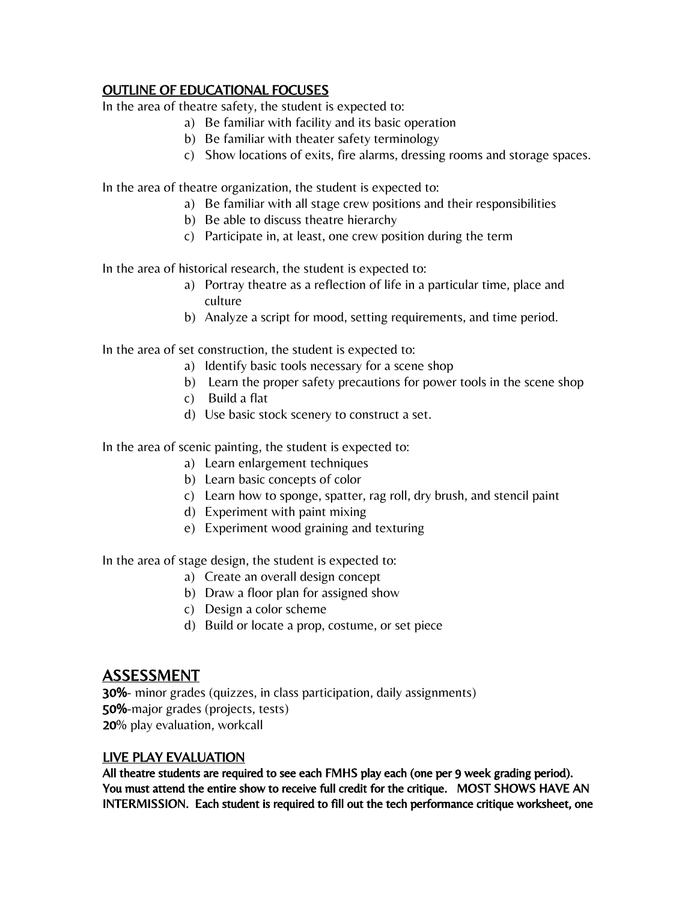## OUTLINE OF EDUCATIONAL FOCUSES

In the area of theatre safety, the student is expected to:

- a) Be familiar with facility and its basic operation
- b) Be familiar with theater safety terminology
- c) Show locations of exits, fire alarms, dressing rooms and storage spaces.

In the area of theatre organization, the student is expected to:

- a) Be familiar with all stage crew positions and their responsibilities
- b) Be able to discuss theatre hierarchy
- c) Participate in, at least, one crew position during the term

In the area of historical research, the student is expected to:

- a) Portray theatre as a reflection of life in a particular time, place and culture
- b) Analyze a script for mood, setting requirements, and time period.

In the area of set construction, the student is expected to:

- a) Identify basic tools necessary for a scene shop
- b) Learn the proper safety precautions for power tools in the scene shop
- c) Build a flat
- d) Use basic stock scenery to construct a set.

In the area of scenic painting, the student is expected to:

- a) Learn enlargement techniques
- b) Learn basic concepts of color
- c) Learn how to sponge, spatter, rag roll, dry brush, and stencil paint
- d) Experiment with paint mixing
- e) Experiment wood graining and texturing

In the area of stage design, the student is expected to:

- a) Create an overall design concept
- b) Draw a floor plan for assigned show
- c) Design a color scheme
- d) Build or locate a prop, costume, or set piece

## ASSESSMENT

30%- minor grades (quizzes, in class participation, daily assignments) 50%-major grades (projects, tests) 20% play evaluation, workcall

### LIVE PLAY EVALUATION

All theatre students are required to see each FMHS play each (one per 9 week grading period). You must attend the entire show to receive full credit for the critique. MOST SHOWS HAVE AN INTERMISSION. Each student is required to fill out the tech performance critique worksheet, one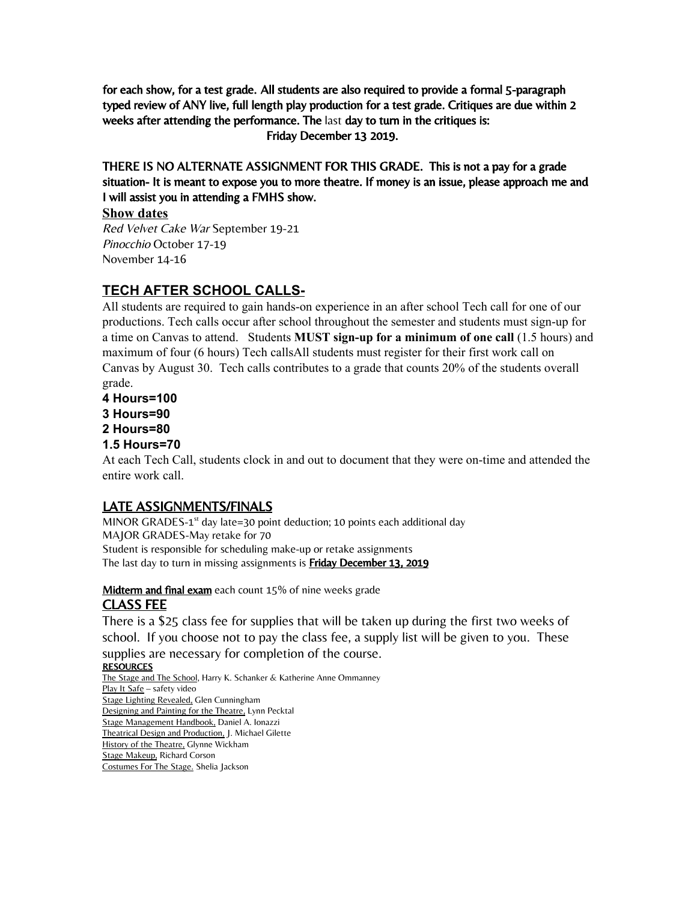for each show, for a test grade. All students are also required to provide a formal 5-paragraph typed review of ANY live, full length play production for a test grade. Critiques are due within 2 weeks after attending the performance. The last day to turn in the critiques is: Friday December 13 2019.

THERE IS NO ALTERNATE ASSIGNMENT FOR THIS GRADE. This is not a pay for a grade situation- It is meant to expose you to more theatre. If money is an issue, please approach me and I will assist you in attending a FMHS show.

### **Show dates**

Red Velvet Cake War September 19-21 Pinocchio October 17-19 November 14-16

## **TECH AFTER SCHOOL CALLS-**

All students are required to gain hands-on experience in an after school Tech call for one of our productions. Tech calls occur after school throughout the semester and students must sign-up for a time on Canvas to attend. Students **MUST sign-up for a minimum of one call** (1.5 hours) and maximum of four (6 hours) Tech callsAll students must register for their first work call on Canvas by August 30. Tech calls contributes to a grade that counts 20% of the students overall grade.

**4 Hours=100**

- **3 Hours=90**
- **2 Hours=80**
- **1.5 Hours=70**

At each Tech Call, students clock in and out to document that they were on-time and attended the entire work call.

### LATE ASSIGNMENTS/FINALS

MINOR GRADES- $1<sup>st</sup>$  day late=30 point deduction; 10 points each additional day MAJOR GRADES-May retake for 70 Student is responsible for scheduling make-up or retake assignments The last day to turn in missing assignments is **Friday December 13, 2019** 

#### Midterm and final exam each count 15% of nine weeks grade CLASS FEE

There is a \$25 class fee for supplies that will be taken up during the first two weeks of school. If you choose not to pay the class fee, a supply list will be given to you. These supplies are necessary for completion of the course.

RESOURCES The Stage and The School, Harry K. Schanker & Katherine Anne Ommanney Play It Safe – safety video Stage Lighting Revealed, Glen Cunningham Designing and Painting for the Theatre, Lynn Pecktal Stage Management Handbook, Daniel A. Ionazzi Theatrical Design and Production, J. Michael Gilette History of the Theatre, Glynne Wickham Stage Makeup, Richard Corson Costumes For The Stage. Shelia Jackson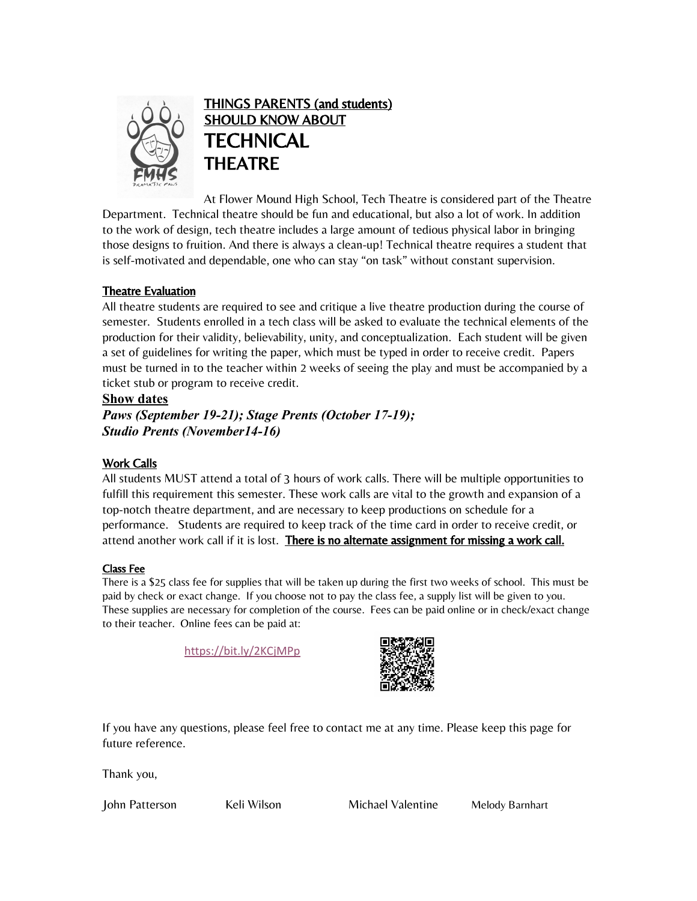

THINGS PARENTS (and students) SHOULD KNOW ABOUT **TECHNICAL** THEATRE

At Flower Mound High School, Tech Theatre is considered part of the Theatre Department. Technical theatre should be fun and educational, but also a lot of work. In addition to the work of design, tech theatre includes a large amount of tedious physical labor in bringing those designs to fruition. And there is always a clean-up! Technical theatre requires a student that is self-motivated and dependable, one who can stay "on task" without constant supervision.

#### Theatre Evaluation

All theatre students are required to see and critique a live theatre production during the course of semester. Students enrolled in a tech class will be asked to evaluate the technical elements of the production for their validity, believability, unity, and conceptualization. Each student will be given a set of guidelines for writing the paper, which must be typed in order to receive credit. Papers must be turned in to the teacher within 2 weeks of seeing the play and must be accompanied by a ticket stub or program to receive credit.

#### **Show dates**

*Paws (September 19-21); Stage Prents (October 17-19); Studio Prents (November14-16)*

#### Work Calls

All students MUST attend a total of 3 hours of work calls. There will be multiple opportunities to fulfill this requirement this semester. These work calls are vital to the growth and expansion of a top-notch theatre department, and are necessary to keep productions on schedule for a performance. Students are required to keep track of the time card in order to receive credit, or attend another work call if it is lost. There is no alternate assignment for missing a work call.

#### Class Fee

There is a \$25 class fee for supplies that will be taken up during the first two weeks of school. This must be paid by check or exact change. If you choose not to pay the class fee, a supply list will be given to you. These supplies are necessary for completion of the course. Fees can be paid online or in check/exact change to their teacher. Online fees can be paid at:

<https://bit.ly/2KCjMPp>



If you have any questions, please feel free to contact me at any time. Please keep this page for future reference.

Thank you,

John Patterson Keli Wilson Michael Valentine Melody Barnhart